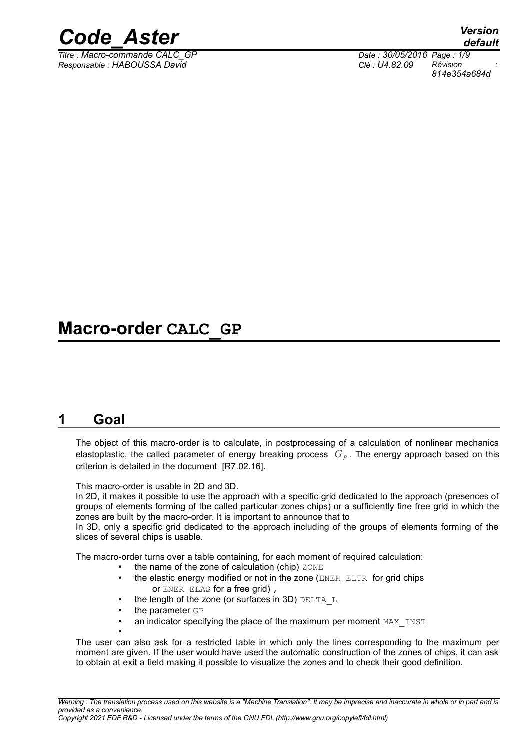

*Titre : Macro-commande CALC\_GP Date : 30/05/2016 Page : 1/9 Responsable : HABOUSSA David Clé : U4.82.09 Révision :*

## **Macro-order CALC\_GP**

## **1 Goal**

The object of this macro-order is to calculate, in postprocessing of a calculation of nonlinear mechanics elastoplastic, the called parameter of energy breaking process  $\,G_{P}$  . The energy approach based on this criterion is detailed in the document [R7.02.16].

This macro-order is usable in 2D and 3D.

In 2D, it makes it possible to use the approach with a specific grid dedicated to the approach (presences of groups of elements forming of the called particular zones chips) or a sufficiently fine free grid in which the zones are built by the macro-order. It is important to announce that to

In 3D, only a specific grid dedicated to the approach including of the groups of elements forming of the slices of several chips is usable.

The macro-order turns over a table containing, for each moment of required calculation:

- the name of the zone of calculation (chip)  $ZONE$
- the elastic energy modified or not in the zone (ENER\_ELTR for grid chips or ENER ELAS for a free grid),
- the length of the zone (or surfaces in 3D)  $DELTA$  L
- the parameter GP

•

an indicator specifying the place of the maximum per moment MAX INST

The user can also ask for a restricted table in which only the lines corresponding to the maximum per moment are given. If the user would have used the automatic construction of the zones of chips, it can ask to obtain at exit a field making it possible to visualize the zones and to check their good definition.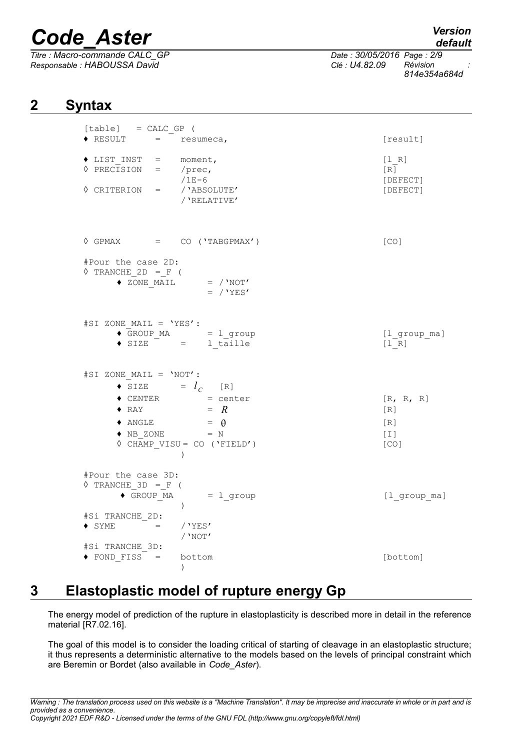*Titre : Macro-commande CALC\_GP Date : 30/05/2016 Page : 2/9 Responsable : HABOUSSA David Clé : U4.82.09 Révision :*

*814e354a684d*

## **2 Syntax**

| $[table] = CALC_GP ($                                                                                                                                                                                                                                                               |                                                                    |
|-------------------------------------------------------------------------------------------------------------------------------------------------------------------------------------------------------------------------------------------------------------------------------------|--------------------------------------------------------------------|
| $\text{\textbullet}$ RESULT = resumeca,                                                                                                                                                                                                                                             | [result]                                                           |
| $\begin{array}{rcl}\n\text{\large $\bullet$ } \texttt{LIST\_INT} & = & \texttt{moment}\,,\\ \n\text{\large $\Diamond$ } \texttt{PRECISION} & = & \texttt{/prec}\,,\\ \n\text{\large $\Diamond$ } \texttt{1E-6}\n\end{array}$<br>$\Diamond$ CRITERION = / 'ABSOLUTE'<br>/ 'RELATIVE' | [1 R]<br>[R]<br>[DEFECT]<br>[DEFECT]                               |
| $\lozenge \text{ GPMAX} = \text{ CO} (\text{YABGPMAX}^\prime)$                                                                                                                                                                                                                      | [CO]                                                               |
| #Pour the case 2D:<br>$\Diamond$ TRANCHE 2D = F (<br>$\bullet\;\; \overline{\text{ZONE\_MALL}}\; \qquad \  \  =\;\; /\; \text{NOT'}$<br>$=$ / 'YES'                                                                                                                                 |                                                                    |
| #SI ZONE_MAIL = 'YES':<br>$\bullet$ GROUP_MA = $l$ _group<br>$\bullet$ SIZE = 1_taille                                                                                                                                                                                              | [l group ma]<br>$[1 R]$                                            |
| #SI ZONE_MAIL = 'NOT':<br>$\bullet$ SIZE = $l_c$ [R]<br>$\bullet$ CENTER = center<br>$= R$<br>$\blacklozenge$ RAY<br>$\bullet$ ANGLE = $\theta$<br>$\bullet \text{ NB } \text{ZONE} \qquad \qquad = \text{ N}$<br>$\Diamond$ CHAMP_VISU = CO ('FIELD')<br>$\overline{\phantom{a}}$  | [R, R, R]<br>[R]<br>$\lceil R \rceil$<br>$\lceil 1 \rceil$<br>[CO] |
| #Pour the case 3D:<br>$\Diamond$ TRANCHE 3D = F (<br>$\bullet$ GROUP_MA = $l$ _group<br>$\left( \right)$<br>#Si TRANCHE 2D:<br>$/$ 'YES'<br>$\bullet$ SYME $=$<br>/ $'$ NOT $'$<br>#Si TRANCHE 3D:                                                                                  | $[1$ <sup>o</sup> group $m$ a]                                     |
| bottom<br>$\bullet$ FOND FISS =<br>$\lambda$                                                                                                                                                                                                                                        | [bottom]                                                           |

## **3 Elastoplastic model of rupture energy Gp**

The energy model of prediction of the rupture in elastoplasticity is described more in detail in the reference material [R7.02.16].

The goal of this model is to consider the loading critical of starting of cleavage in an elastoplastic structure; it thus represents a deterministic alternative to the models based on the levels of principal constraint which are Beremin or Bordet (also available in *Code\_Aster*).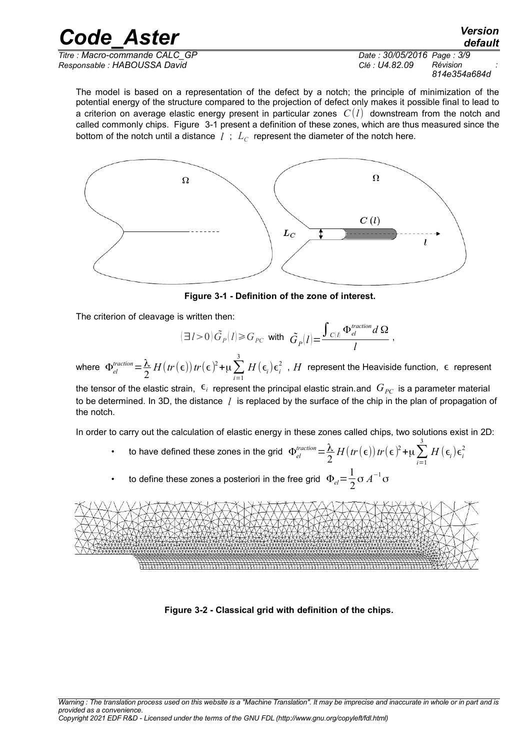*Responsable : HABOUSSA David Clé : U4.82.09 Révision :*

*Titre : Macro-commande CALC\_GP Date : 30/05/2016 Page : 3/9 814e354a684d*

*default*

The model is based on a representation of the defect by a notch; the principle of minimization of the potential energy of the structure compared to the projection of defect only makes it possible final to lead to a criterion on average elastic energy present in particular zones *C*(*l*) downstream from the notch and called commonly chips. Figure [3-1](#page-2-0) present a definition of these zones, which are thus measured since the bottom of the notch until a distance  $|l|$  ;  $|L_C|$  represent the diameter of the notch here.



<span id="page-2-0"></span> **Figure 3-1 - Definition of the zone of interest.**

The criterion of cleavage is written then:

$$
(\exists l>0)\tilde{G}_P(l) \geq G_{PC} \text{ with } \tilde{G}_P(l) = \frac{\int_{C(l)} \Phi_{el}^{traction} d\Omega}{l} \,,
$$

where  $\Phi_{el}^{traction} = \frac{\lambda}{2}$ 2  $H(tr(\epsilon))$ *tr* $(\epsilon)^2 + \mu \sum_{i=1}$ 3  $H\left(\boldsymbol{\epsilon}_{i}\right) \boldsymbol{\epsilon}_{i}^{2}$  ,  $H$  represent the Heaviside function,  $\ \boldsymbol{\epsilon}\,$  represent

the tensor of the elastic strain,  $\epsilon_i$  represent the principal elastic strain.and  $G_{PC}$  is a parameter material to be determined. In 3D, the distance *l* is replaced by the surface of the chip in the plan of propagation of the notch.

In order to carry out the calculation of elastic energy in these zones called chips, two solutions exist in 2D:

- to have defined these zones in the grid  $\Phi_{el}^{fraction} = \frac{\lambda}{2}$ 2  $H(tr(\epsilon))$ *tr* $(\epsilon)^2 + \mu \sum_{i=1}$ 3  $H(\epsilon_{\scriptscriptstyle i})\epsilon_{\scriptscriptstyle i}^2$
- to define these zones a posteriori in the free grid  $\Phi_{el} = \frac{1}{2}$ 2 σ $A^{-1}$ σ



<span id="page-2-1"></span> **Figure 3-2 - Classical grid with definition of the chips.**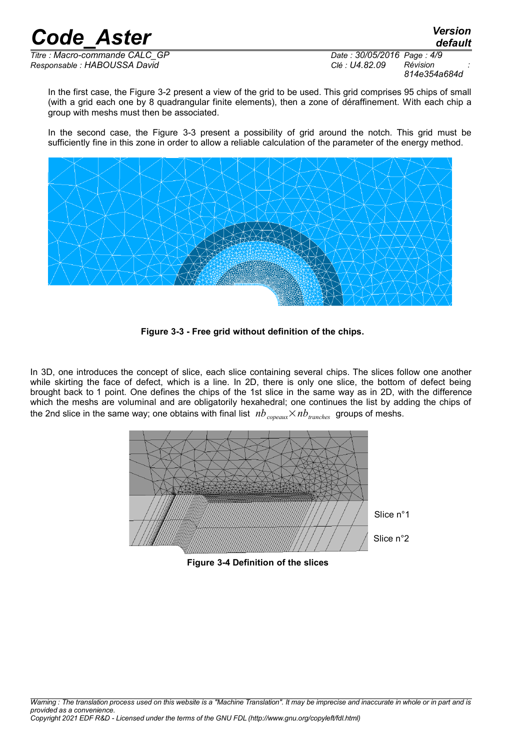*default*

*Titre : Macro-commande CALC\_GP Date : 30/05/2016 Page : 4/9 Responsable : HABOUSSA David Clé : U4.82.09 Révision :*

*814e354a684d*

In the first case, the Figure [3-2](#page-2-1) present a view of the grid to be used. This grid comprises 95 chips of small (with a grid each one by 8 quadrangular finite elements), then a zone of déraffinement. With each chip a group with meshs must then be associated.

In the second case, the Figure [3-3](#page-3-0) present a possibility of grid around the notch. This grid must be sufficiently fine in this zone in order to allow a reliable calculation of the parameter of the energy method.



<span id="page-3-0"></span> **Figure 3-3 - Free grid without definition of the chips.**

In 3D, one introduces the concept of slice, each slice containing several chips. The slices follow one another while skirting the face of defect, which is a line. In 2D, there is only one slice, the bottom of defect being brought back to 1 point. One defines the chips of the 1st slice in the same way as in 2D, with the difference which the meshs are voluminal and are obligatorily hexahedral; one continues the list by adding the chips of the 2nd slice in the same way; one obtains with final list  $nb_{\text{copeaux}} \times nb_{\text{tranches}}$  groups of meshs.



**Figure 3-4 Definition of the slices**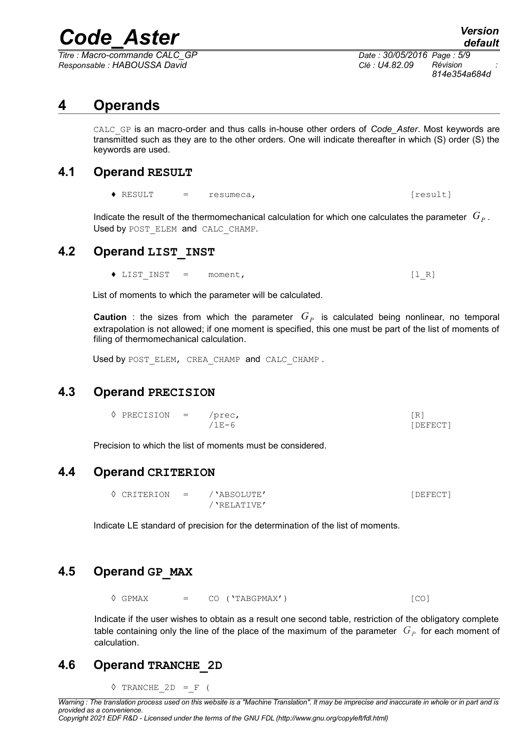*Titre : Macro-commande CALC\_GP Date : 30/05/2016 Page : 5/9 Responsable : HABOUSSA David Clé : U4.82.09 Révision :*

*814e354a684d*

## **4 Operands**

CALC\_GP is an macro-order and thus calls in-house other orders of *Code\_Aster*. Most keywords are transmitted such as they are to the other orders. One will indicate thereafter in which (S) order (S) the keywords are used.

### **4.1 Operand RESULT**

 $\triangle$  RESULT  $=$  resumeca,  $[result]$ 

Indicate the result of the thermomechanical calculation for which one calculates the parameter  $|G_P|$ . Used by POST ELEM and CALC CHAMP.

## **4.2 Operand LIST\_INST**

◆ LIST INST = moment, [l\_R]

List of moments to which the parameter will be calculated.

**Caution** : the sizes from which the parameter  $G_P$  is calculated being nonlinear, no temporal extrapolation is not allowed; if one moment is specified, this one must be part of the list of moments of filing of thermomechanical calculation.

Used by POST ELEM, CREA CHAMP and CALC CHAMP.

### **4.3 Operand PRECISION**

 $\Diamond$  PRECISION = /prec, [R] /1E-6 [DEFECT]

Precision to which the list of moments must be considered.

### **4.4 Operand CRITERION**

|  | $\Diamond$ CRITERION = / 'ABSOLUTE' | [DEFECT] |
|--|-------------------------------------|----------|
|  | / 'RELATIVE'                        |          |

Indicate LE standard of precision for the determination of the list of moments.

## **4.5 Operand GP\_MAX**

 $\Diamond$  GPMAX =  $CO$  ('TABGPMAX') [CO]

Indicate if the user wishes to obtain as a result one second table, restriction of the obligatory complete table containing only the line of the place of the maximum of the parameter  $\;G_P\;$  for each moment of calculation.

## **4.6 Operand TRANCHE\_2D**

 $\Diamond$  TRANCHE 2D = F (

*Warning : The translation process used on this website is a "Machine Translation". It may be imprecise and inaccurate in whole or in part and is provided as a convenience. Copyright 2021 EDF R&D - Licensed under the terms of the GNU FDL (http://www.gnu.org/copyleft/fdl.html)*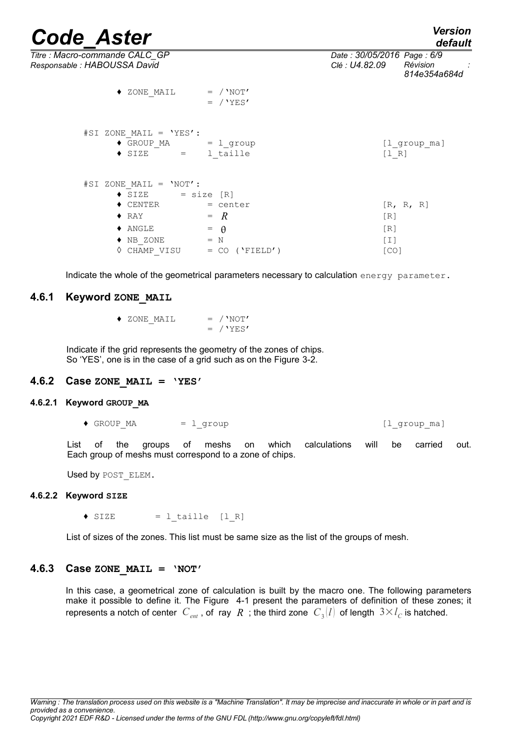*default*

*Titre : Macro-commande CALC\_GP Date : 30/05/2016 Page : 6/9 Responsable : HABOUSSA David Clé : U4.82.09 Révision :*

|                            | uciauit      |  |
|----------------------------|--------------|--|
| Date: 30/05/2016 Page: 6/9 |              |  |
| Clé : U4.82.09             | Révision     |  |
|                            | 814e354a684d |  |
|                            |              |  |

| $#SI$ ZONE MAIL = 'YES':<br>$\bullet$ GROUP MA = $l_g$ roup<br>$\bullet$ SIZE | $=$ 1 taille                | [l group ma]<br>[1 R] |
|-------------------------------------------------------------------------------|-----------------------------|-----------------------|
| #SI ZONE MAIL = 'NOT':                                                        |                             |                       |
| $\bullet$ SIZE = size [R]                                                     |                             |                       |
| $\blacklozenge$ CENTER                                                        | = center                    | [R, R, R]             |
| $\blacklozenge$ RAY                                                           | $=$ $R$                     | [R]                   |
| $\blacklozenge$ ANGLE                                                         | $=$ $\theta$                | [R]                   |
| $\blacklozenge$ NB ZONE                                                       | $= N$                       | $[1]$                 |
|                                                                               | CHAMP VISU = $CO (YFIELD')$ | [CO]                  |

Indicate the whole of the geometrical parameters necessary to calculation energy parameter.

#### **4.6.1 Keyword ZONE\_MAIL**

| $\triangleleft$ ZONE MAIL |  | $=$ / 'NOT' |
|---------------------------|--|-------------|
|                           |  | $=$ / 'YES' |

 $\triangle$  ZONE MAIL = /'NOT'

 $=$  / 'YES'

Indicate if the grid represents the geometry of the zones of chips. So 'YES', one is in the case of a grid such as on the Figure [3-2.](#page-2-1)

#### **4.6.2 Case ZONE\_MAIL = 'YES'**

#### **4.6.2.1 Keyword GROUP\_MA**

• GROUP MA = l\_group = compasses = l\_group = l\_group = l\_group = l\_group = l\_group = l\_group = l\_group = l\_group = l\_group = l\_group = l\_group = l\_group = l\_group = l\_group = l\_group = l\_group = l\_group = l\_group = l\_group

List of the groups of meshs on which calculations will be carried out. Each group of meshs must correspond to a zone of chips.

Used by POST ELEM.

#### **4.6.2.2 Keyword SIZE**

 $\bullet$  SIZE = 1 taille [1 R]

List of sizes of the zones. This list must be same size as the list of the groups of mesh.

#### **4.6.3 Case ZONE\_MAIL = 'NOT'**

In this case, a geometrical zone of calculation is built by the macro one. The following parameters make it possible to define it. The Figure [4-1](#page-6-0) present the parameters of definition of these zones; it represents a notch of center  $|C_{_{ent}}|$ , of  $|$ ray  $|R|$  ; the third zone  $|C_{_3}|l|$  of length  $|3{\times}l_C|$  is hatched.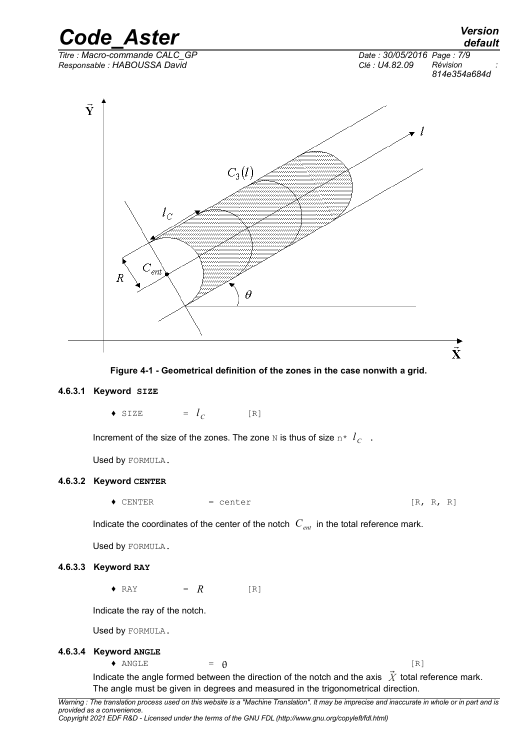

<span id="page-6-0"></span> **Figure 4-1 - Geometrical definition of the zones in the case nonwith a grid.**

#### **4.6.3.1 Keyword SIZE**

 $\bullet$  SIZE  $l_C$  $[R]$ 

Increment of the size of the zones. The zone N is thus of size  $n \times l_C$ .

Used by FORMULA.

#### **4.6.3.2 Keyword CENTER**

 $\bullet$  CENTER  $=$  center  $[R, R, R]$ 

Indicate the coordinates of the center of the notch  $C_{ent}$  in the total reference mark.

Used by FORMULA.

#### **4.6.3.3 Keyword RAY**

 $\bullet$  RAY =  $R$  [R]

Indicate the ray of the notch.

Used by FORMULA.

#### **4.6.3.4 Keyword ANGLE**

 $\bullet$  ANGLE  $= \theta$  [R]

Indicate the angle formed between the direction of the notch and the axis  $\vec{X}$  total reference mark. The angle must be given in degrees and measured in the trigonometrical direction.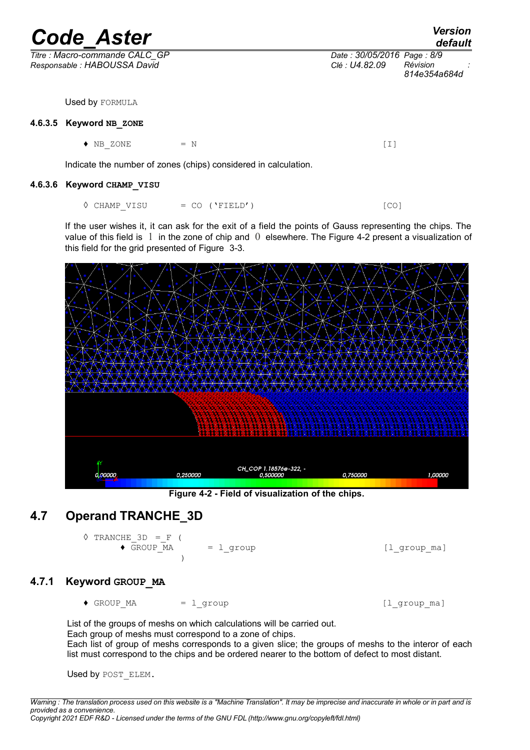| <b>Code Aster</b>                                               |                                              | <b>Version</b><br>default |
|-----------------------------------------------------------------|----------------------------------------------|---------------------------|
| Titre : Macro-commande CALC GP<br>Responsable: HABOUSSA David   | Date: 30/05/2016 Page: 8/9<br>Clé : U4.82.09 | Révision<br>814e354a684d  |
| Used by FORMULA                                                 |                                              |                           |
| 4.6.3.5 Keyword NB ZONE                                         |                                              |                           |
| NB ZONE<br>$= N$<br>٠                                           | [I]                                          |                           |
| Indicate the number of zones (chips) considered in calculation. |                                              |                           |
| 4.6.3.6 Keyword CHAMP VISU                                      |                                              |                           |

 $\Diamond$  CHAMP VISU = CO ('FIELD') [CO]

If the user wishes it, it can ask for the exit of a field the points of Gauss representing the chips. The value of this field is 1 in the zone of chip and 0 elsewhere. The Figure [4-2](#page-7-0) present a visualization of this field for the grid presented of Figure [3-3.](#page-3-0)



<span id="page-7-0"></span>**Figure 4-2 - Field of visualization of the chips.**

## **4.7 Operand TRANCHE\_3D**

 $\Diamond$  TRANCHE 3D = F (  $\bullet$  GROUP\_MA =  $l$ \_group  $[1$ \_group\_ma]  $\rightarrow$ 

#### **4.7.1 Keyword GROUP\_MA**

 $\bullet$  GROUP MA = l\_group  $[1]$  group ma]

List of the groups of meshs on which calculations will be carried out. Each group of meshs must correspond to a zone of chips. Each list of group of meshs corresponds to a given slice; the groups of meshs to the interor of each list must correspond to the chips and be ordered nearer to the bottom of defect to most distant.

Used by POST ELEM.